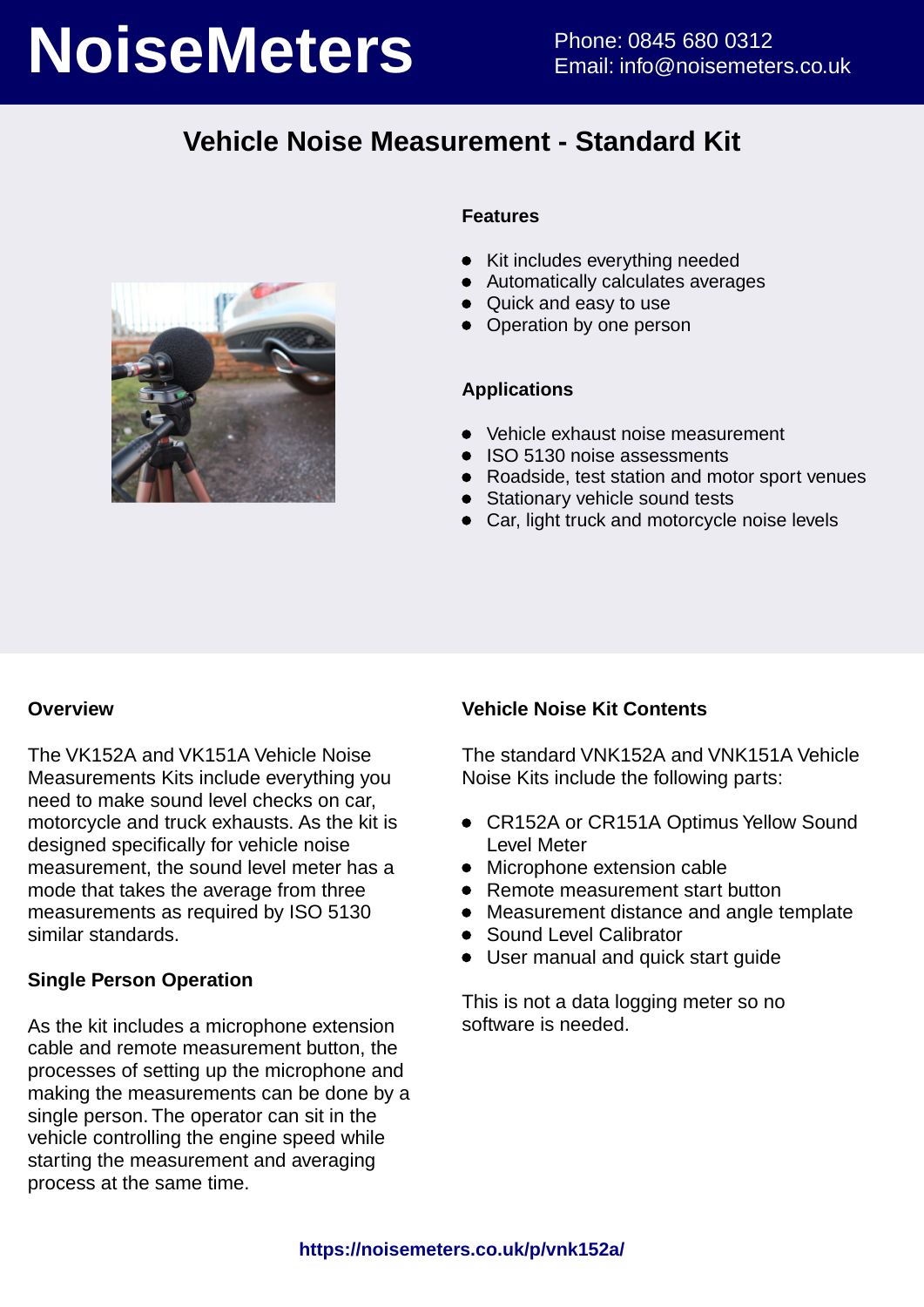# **NoiseMeters** Phone: 0845 680 0312

# **Vehicle Noise Measurement - Standard Kit**



### **Features**

- Kit includes everything needed
- Automatically calculates averages
- Quick and easy to use
- Operation by one person

### **Applications**

- Vehicle exhaust noise measurement
- ISO 5130 noise assessments
- Roadside, test station and motor sport venues
- Stationary vehicle sound tests
- Car, light truck and motorcycle noise levels

### **Overview**

The VK152A and VK151A Vehicle Noise Measurements Kits include everything you need to make sound level checks on car, motorcycle and truck exhausts. As the kit is designed specifically for vehicle noise measurement, the sound level meter has a mode that takes the average from three measurements as required by ISO 5130 similar standards.

### **Single Person Operation**

As the kit includes a microphone extension cable and remote measurement button, the processes of setting up the microphone and making the measurements can be done by a single person. The operator can sit in the vehicle controlling the engine speed while starting the measurement and averaging process at the same time.

## **Vehicle Noise Kit Contents**

The standard VNK152A and VNK151A Vehicle Noise Kits include the following parts:

- CR152A or CR151A Optimus Yellow Sound Level Meter
- Microphone extension cable
- Remote measurement start button
- Measurement distance and angle template
- Sound Level Calibrator
- User manual and quick start guide

This is not a data logging meter so no software is needed.